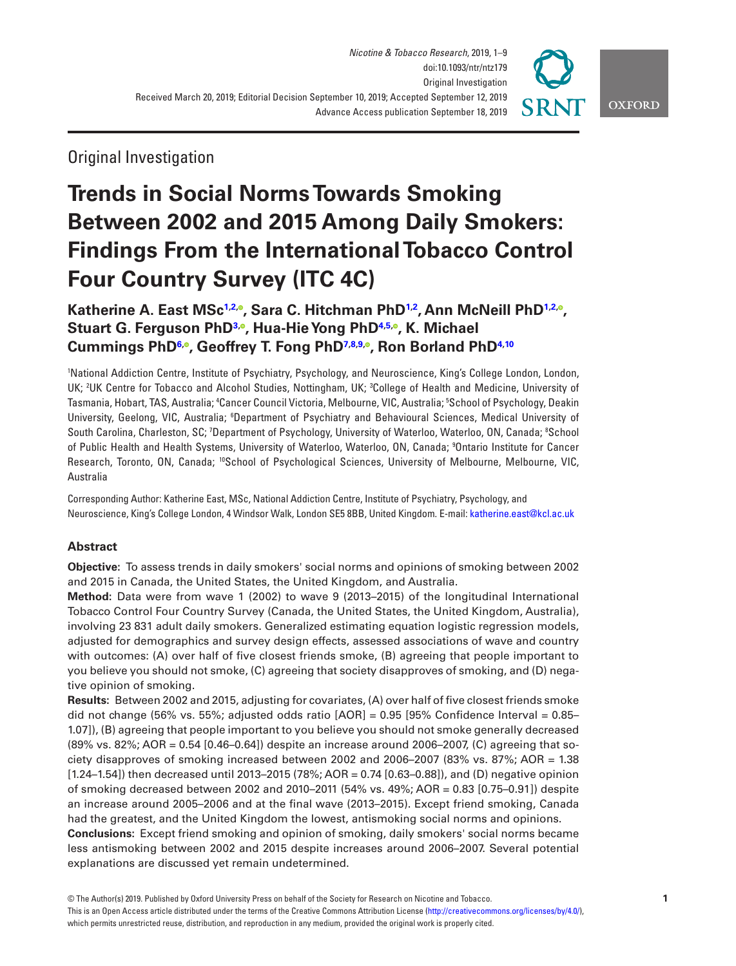

# Original Investigation

# **Trends in Social Norms Towards Smoking Between 2002 and 2015 Among Daily Smokers: Findings From the International Tobacco Control Four Country Survey (ITC 4C)**

**Katherine A. East MS[c1](#page-0-0)[,2,](#page-0-1) [,](http://orcid.org/0000-0001-9083-2131) Sara C. Hitchman Ph[D1](#page-0-0)[,2](#page-0-1) , Ann McNeill Ph[D1](#page-0-0),[2,](#page-0-1) [,](https://orcid.org/0000-0002-6223-4000) Stuart G. Ferguson PhD[3](#page-0-2)[,](http://orcid.org/0000-0001-7378-3497) , Hua-Hie Yong PhD[4](#page-0-3)[,5](#page-0-4)[,](https://orcid.org/0000-0001-8167-6173) , K. Michael Cummings Ph[D6](#page-0-5)[,](https://orcid.org/0000-0002-7103-7017) , Geoffrey T. Fong Ph[D7,](#page-0-6)[8,](#page-0-7)[9](#page-0-8)[,](https://orcid.org/0000-0001-9098-6472) , Ron Borland PhD[4](#page-0-3)[,10](#page-0-9)**

<span id="page-0-7"></span><span id="page-0-6"></span><span id="page-0-5"></span><span id="page-0-4"></span><span id="page-0-3"></span><span id="page-0-2"></span><span id="page-0-1"></span><span id="page-0-0"></span>1 National Addiction Centre, Institute of Psychiatry, Psychology, and Neuroscience, King's College London, London, UK; <sup>2</sup>UK Centre for Tobacco and Alcohol Studies, Nottingham, UK; <sup>3</sup>College of Health and Medicine, University of Tasmania, Hobart, TAS, Australia; 'Cancer Council Victoria, Melbourne, VIC, Australia; <sup>5</sup>School of Psychology, Deakin University, Geelong, VIC, Australia; <sup>6</sup>Department of Psychiatry and Behavioural Sciences, Medical University of South Carolina, Charleston, SC; 7Department of Psychology, University of Waterloo, Waterloo, ON, Canada; <sup>8</sup>School of Public Health and Health Systems, University of Waterloo, Waterloo, ON, Canada; 9 Ontario Institute for Cancer Research, Toronto, ON, Canada; <sup>10</sup>School of Psychological Sciences, University of Melbourne, Melbourne, VIC, Australia

<span id="page-0-9"></span><span id="page-0-8"></span>Corresponding Author: Katherine East, MSc, National Addiction Centre, Institute of Psychiatry, Psychology, and Neuroscience, King's College London, 4 Windsor Walk, London SE5 8BB, United Kingdom. E-mail: [katherine.east@kcl.ac.uk](mailto:katherine.east@kcl.ac.uk?subject=)

# **Abstract**

**Objective:** To assess trends in daily smokers' social norms and opinions of smoking between 2002 and 2015 in Canada, the United States, the United Kingdom, and Australia.

**Method:** Data were from wave 1 (2002) to wave 9 (2013–2015) of the longitudinal International Tobacco Control Four Country Survey (Canada, the United States, the United Kingdom, Australia), involving 23 831 adult daily smokers. Generalized estimating equation logistic regression models, adjusted for demographics and survey design effects, assessed associations of wave and country with outcomes: (A) over half of five closest friends smoke, (B) agreeing that people important to you believe you should not smoke, (C) agreeing that society disapproves of smoking, and (D) negative opinion of smoking.

**Results:** Between 2002 and 2015, adjusting for covariates, (A) over half of five closest friends smoke did not change (56% vs. 55%; adjusted odds ratio  $[AOR] = 0.95$  [95% Confidence Interval = 0.85– 1.07]), (B) agreeing that people important to you believe you should not smoke generally decreased (89% vs. 82%; AOR = 0.54 [0.46–0.64]) despite an increase around 2006–2007, (C) agreeing that society disapproves of smoking increased between 2002 and 2006–2007 (83% vs. 87%; AOR = 1.38 [1.24–1.54]) then decreased until 2013–2015 (78%; AOR = 0.74 [0.63–0.88]), and (D) negative opinion of smoking decreased between 2002 and 2010–2011 (54% vs. 49%; AOR = 0.83 [0.75–0.91]) despite an increase around 2005–2006 and at the final wave (2013–2015). Except friend smoking, Canada had the greatest, and the United Kingdom the lowest, antismoking social norms and opinions.

**Conclusions:** Except friend smoking and opinion of smoking, daily smokers' social norms became less antismoking between 2002 and 2015 despite increases around 2006–2007. Several potential explanations are discussed yet remain undetermined.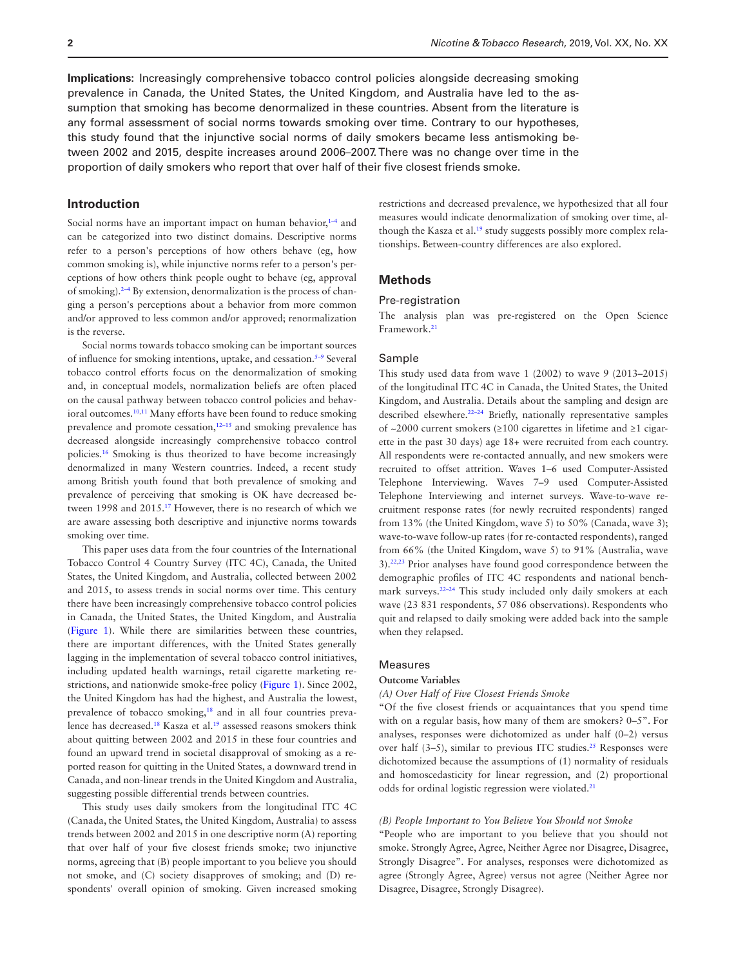**Implications:** Increasingly comprehensive tobacco control policies alongside decreasing smoking prevalence in Canada, the United States, the United Kingdom, and Australia have led to the assumption that smoking has become denormalized in these countries. Absent from the literature is any formal assessment of social norms towards smoking over time. Contrary to our hypotheses, this study found that the injunctive social norms of daily smokers became less antismoking between 2002 and 2015, despite increases around 2006–2007. There was no change over time in the proportion of daily smokers who report that over half of their five closest friends smoke.

# **Introduction**

Social norms have an important impact on human behavior, $1-4$  and can be categorized into two distinct domains. Descriptive norms refer to a person's perceptions of how others behave (eg, how common smoking is), while injunctive norms refer to a person's perceptions of how others think people ought to behave (eg, approval of smoking).2–4 By extension, denormalization is the process of changing a person's perceptions about a behavior from more common and/or approved to less common and/or approved; renormalization is the reverse.

Social norms towards tobacco smoking can be important sources of influence for smoking intentions, uptake, and cessation.5–9 Several tobacco control efforts focus on the denormalization of smoking and, in conceptual models, normalization beliefs are often placed on the causal pathway between tobacco control policies and behav-ioral outcomes.<sup>[10,](#page-8-0)[11](#page-8-1)</sup> Many efforts have been found to reduce smoking prevalence and promote cessation, $12-15$  and smoking prevalence has decreased alongside increasingly comprehensive tobacco control policies.[16](#page-8-2) Smoking is thus theorized to have become increasingly denormalized in many Western countries. Indeed, a recent study among British youth found that both prevalence of smoking and prevalence of perceiving that smoking is OK have decreased between 1998 and 2015[.17](#page-8-3) However, there is no research of which we are aware assessing both descriptive and injunctive norms towards smoking over time.

This paper uses data from the four countries of the International Tobacco Control 4 Country Survey (ITC 4C), Canada, the United States, the United Kingdom, and Australia, collected between 2002 and 2015, to assess trends in social norms over time. This century there have been increasingly comprehensive tobacco control policies in Canada, the United States, the United Kingdom, and Australia [\(Figure 1](#page-2-0)). While there are similarities between these countries, there are important differences, with the United States generally lagging in the implementation of several tobacco control initiatives, including updated health warnings, retail cigarette marketing restrictions, and nationwide smoke-free policy [\(Figure 1\)](#page-2-0). Since 2002, the United Kingdom has had the highest, and Australia the lowest, prevalence of tobacco smoking,<sup>18</sup> and in all four countries prevalence has decreased[.18](#page-8-4) Kasza et al[.19](#page-8-5) assessed reasons smokers think about quitting between 2002 and 2015 in these four countries and found an upward trend in societal disapproval of smoking as a reported reason for quitting in the United States, a downward trend in Canada, and non-linear trends in the United Kingdom and Australia, suggesting possible differential trends between countries.

This study uses daily smokers from the longitudinal ITC 4C (Canada, the United States, the United Kingdom, Australia) to assess trends between 2002 and 2015 in one descriptive norm (A) reporting that over half of your five closest friends smoke; two injunctive norms, agreeing that (B) people important to you believe you should not smoke, and (C) society disapproves of smoking; and (D) respondents' overall opinion of smoking. Given increased smoking restrictions and decreased prevalence, we hypothesized that all four measures would indicate denormalization of smoking over time, although the Kasza et al.<sup>19</sup> study suggests possibly more complex relationships. Between-country differences are also explored.

# **Methods**

#### Pre-registration

The analysis plan was pre-registered on the Open Science Framework.[21](#page-8-6)

#### Sample

This study used data from wave 1 (2002) to wave 9 (2013–2015) of the longitudinal ITC 4C in Canada, the United States, the United Kingdom, and Australia. Details about the sampling and design are described elsewhere.<sup>22-24</sup> Briefly, nationally representative samples of ~2000 current smokers (≥100 cigarettes in lifetime and ≥1 cigarette in the past 30 days) age 18+ were recruited from each country. All respondents were re-contacted annually, and new smokers were recruited to offset attrition. Waves 1–6 used Computer-Assisted Telephone Interviewing. Waves 7–9 used Computer-Assisted Telephone Interviewing and internet surveys. Wave-to-wave recruitment response rates (for newly recruited respondents) ranged from 13% (the United Kingdom, wave 5) to 50% (Canada, wave 3); wave-to-wave follow-up rates (for re-contacted respondents), ranged from 66% (the United Kingdom, wave 5) to 91% (Australia, wave 3).[22](#page-8-7)[,23](#page-8-8) Prior analyses have found good correspondence between the demographic profiles of ITC 4C respondents and national benchmark surveys.<sup>22-24</sup> This study included only daily smokers at each wave (23 831 respondents, 57 086 observations). Respondents who quit and relapsed to daily smoking were added back into the sample when they relapsed.

#### Measures

#### **Outcome Variables**

#### *(A) Over Half of Five Closest Friends Smoke*

"Of the five closest friends or acquaintances that you spend time with on a regular basis, how many of them are smokers? 0–5". For analyses, responses were dichotomized as under half (0–2) versus over half (3-5), similar to previous ITC studies.<sup>25</sup> Responses were dichotomized because the assumptions of (1) normality of residuals and homoscedasticity for linear regression, and (2) proportional odds for ordinal logistic regression were violated.[21](#page-8-6)

#### *(B) People Important to You Believe You Should not Smoke*

"People who are important to you believe that you should not smoke. Strongly Agree, Agree, Neither Agree nor Disagree, Disagree, Strongly Disagree". For analyses, responses were dichotomized as agree (Strongly Agree, Agree) versus not agree (Neither Agree nor Disagree, Disagree, Strongly Disagree).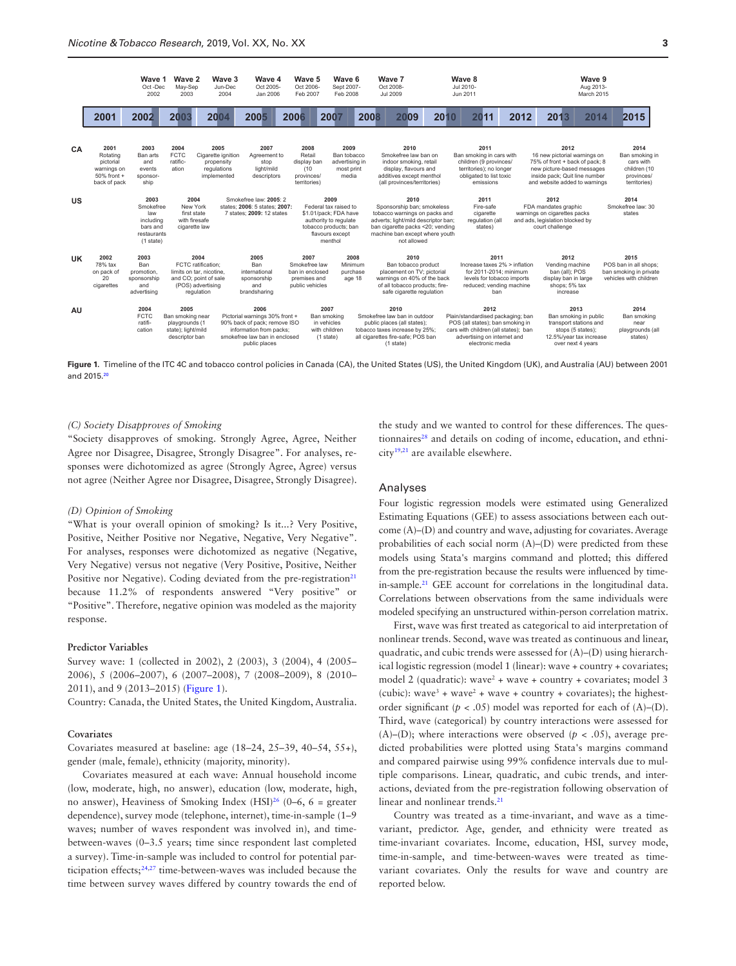

<span id="page-2-0"></span>**Figure 1.** Timeline of the ITC 4C and tobacco control policies in Canada (CA), the United States (US), the United Kingdom (UK), and Australia (AU) between 2001 and 2015.[20](#page-8-14)

#### *(C) Society Disapproves of Smoking*

"Society disapproves of smoking. Strongly Agree, Agree, Neither Agree nor Disagree, Disagree, Strongly Disagree". For analyses, responses were dichotomized as agree (Strongly Agree, Agree) versus not agree (Neither Agree nor Disagree, Disagree, Strongly Disagree).

#### *(D) Opinion of Smoking*

"What is your overall opinion of smoking? Is it...? Very Positive, Positive, Neither Positive nor Negative, Negative, Very Negative". For analyses, responses were dichotomized as negative (Negative, Very Negative) versus not negative (Very Positive, Positive, Neither Positive nor Negative). Coding deviated from the pre-registration<sup>21</sup> because 11.2% of respondents answered "Very positive" or "Positive". Therefore, negative opinion was modeled as the majority response.

#### **Predictor Variables**

Survey wave: 1 (collected in 2002), 2 (2003), 3 (2004), 4 (2005– 2006), 5 (2006–2007), 6 (2007–2008), 7 (2008–2009), 8 (2010– 2011), and 9 (2013–2015) ([Figure 1](#page-2-0)).

Country: Canada, the United States, the United Kingdom, Australia.

#### **Covariates**

Covariates measured at baseline: age (18–24, 25–39, 40–54, 55+), gender (male, female), ethnicity (majority, minority).

Covariates measured at each wave: Annual household income (low, moderate, high, no answer), education (low, moderate, high, no answer), Heaviness of Smoking Index  $(HSI)<sup>26</sup>$  $(HSI)<sup>26</sup>$  $(HSI)<sup>26</sup>$  (0–6, 6 = greater dependence), survey mode (telephone, internet), time-in-sample (1–9 waves; number of waves respondent was involved in), and timebetween-waves (0–3.5 years; time since respondent last completed a survey). Time-in-sample was included to control for potential participation effects[;24,](#page-8-11)[27](#page-8-12) time-between-waves was included because the time between survey waves differed by country towards the end of

the study and we wanted to control for these differences. The ques-tionnaires<sup>[28](#page-8-13)</sup> and details on coding of income, education, and ethnicit[y19](#page-8-5),[21](#page-8-6) are available elsewhere.

#### Analyses

Four logistic regression models were estimated using Generalized Estimating Equations (GEE) to assess associations between each outcome (A)–(D) and country and wave, adjusting for covariates. Average probabilities of each social norm (A)–(D) were predicted from these models using Stata's margins command and plotted; this differed from the pre-registration because the results were influenced by timein-sample[.21](#page-8-6) GEE account for correlations in the longitudinal data. Correlations between observations from the same individuals were modeled specifying an unstructured within-person correlation matrix.

First, wave was first treated as categorical to aid interpretation of nonlinear trends. Second, wave was treated as continuous and linear, quadratic, and cubic trends were assessed for (A)–(D) using hierarchical logistic regression (model 1 (linear): wave + country + covariates; model 2 (quadratic): wave<sup>2</sup> + wave + country + covariates; model 3 (cubic): wave<sup>3</sup> + wave<sup>2</sup> + wave + country + covariates); the highestorder significant ( $p < .05$ ) model was reported for each of (A)–(D). Third, wave (categorical) by country interactions were assessed for (A)–(D); where interactions were observed ( $p < .05$ ), average predicted probabilities were plotted using Stata's margins command and compared pairwise using 99% confidence intervals due to multiple comparisons. Linear, quadratic, and cubic trends, and interactions, deviated from the pre-registration following observation of linear and nonlinear trends.<sup>21</sup>

Country was treated as a time-invariant, and wave as a timevariant, predictor. Age, gender, and ethnicity were treated as time-invariant covariates. Income, education, HSI, survey mode, time-in-sample, and time-between-waves were treated as timevariant covariates. Only the results for wave and country are reported below.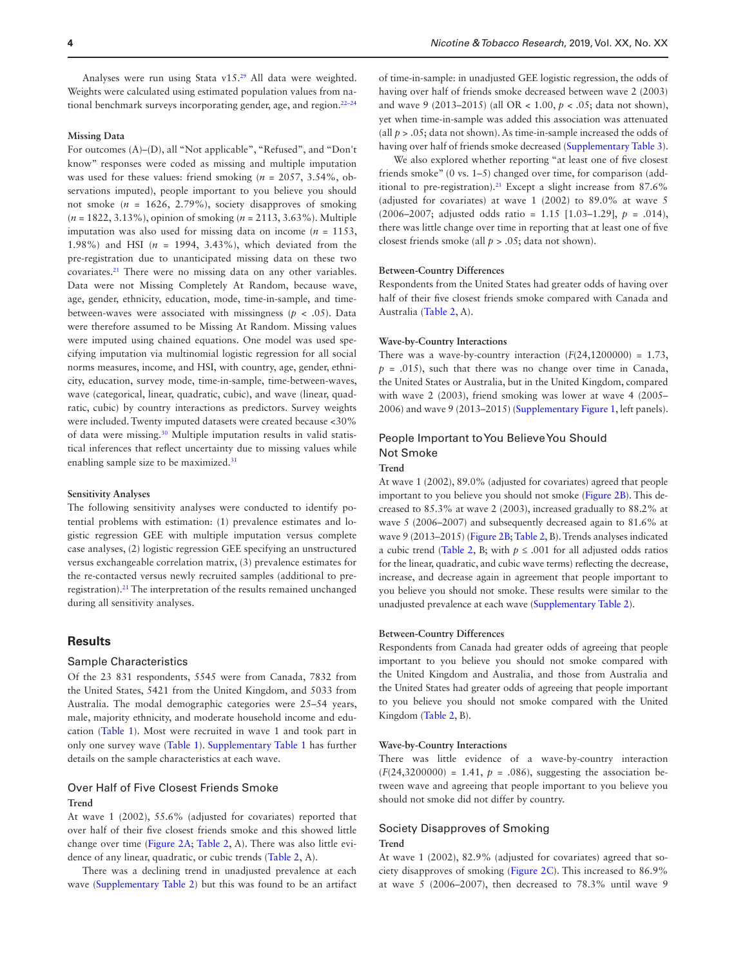Analyses were run using Stata v15[.29](#page-8-15) All data were weighted. Weights were calculated using estimated population values from national benchmark surveys incorporating gender, age, and region.<sup>22-24</sup>

#### **Missing Data**

For outcomes (A)–(D), all "Not applicable", "Refused", and "Don't know" responses were coded as missing and multiple imputation was used for these values: friend smoking (*n* = 2057, 3.54%, observations imputed), people important to you believe you should not smoke (*n* = 1626, 2.79%), society disapproves of smoking (*n* = 1822, 3.13%), opinion of smoking (*n* = 2113, 3.63%). Multiple imputation was also used for missing data on income  $(n = 1153,$ 1.98%) and HSI (*n* = 1994, 3.43%), which deviated from the pre-registration due to unanticipated missing data on these two covariates.[21](#page-8-6) There were no missing data on any other variables. Data were not Missing Completely At Random, because wave, age, gender, ethnicity, education, mode, time-in-sample, and timebetween-waves were associated with missingness ( $p < .05$ ). Data were therefore assumed to be Missing At Random. Missing values were imputed using chained equations. One model was used specifying imputation via multinomial logistic regression for all social norms measures, income, and HSI, with country, age, gender, ethnicity, education, survey mode, time-in-sample, time-between-waves, wave (categorical, linear, quadratic, cubic), and wave (linear, quadratic, cubic) by country interactions as predictors. Survey weights were included. Twenty imputed datasets were created because <30% of data were missing.[30](#page-8-16) Multiple imputation results in valid statistical inferences that reflect uncertainty due to missing values while enabling sample size to be maximized.[31](#page-8-17)

#### **Sensitivity Analyses**

The following sensitivity analyses were conducted to identify potential problems with estimation: (1) prevalence estimates and logistic regression GEE with multiple imputation versus complete case analyses, (2) logistic regression GEE specifying an unstructured versus exchangeable correlation matrix, (3) prevalence estimates for the re-contacted versus newly recruited samples (additional to preregistration)[.21](#page-8-6) The interpretation of the results remained unchanged during all sensitivity analyses.

# **Results**

#### Sample Characteristics

Of the 23 831 respondents, 5545 were from Canada, 7832 from the United States, 5421 from the United Kingdom, and 5033 from Australia. The modal demographic categories were 25–54 years, male, majority ethnicity, and moderate household income and education ([Table 1](#page-4-0)). Most were recruited in wave 1 and took part in only one survey wave [\(Table 1](#page-4-0)). [Supplementary Table 1](http://academic.oup.com/ntr/article-lookup/doi/10.1093/ntr/ntz179#supplementary-data) has further details on the sample characteristics at each wave.

#### Over Half of Five Closest Friends Smoke

#### **Trend**

At wave 1 (2002), 55.6% (adjusted for covariates) reported that over half of their five closest friends smoke and this showed little change over time ([Figure 2A;](#page-5-0) [Table 2](#page-6-0), A). There was also little evidence of any linear, quadratic, or cubic trends ([Table 2](#page-6-0), A).

There was a declining trend in unadjusted prevalence at each wave ([Supplementary Table 2](http://academic.oup.com/ntr/article-lookup/doi/10.1093/ntr/ntz179#supplementary-data)) but this was found to be an artifact

of time-in-sample: in unadjusted GEE logistic regression, the odds of having over half of friends smoke decreased between wave 2 (2003) and wave 9 (2013–2015) (all OR < 1.00, *p* < .05; data not shown), yet when time-in-sample was added this association was attenuated (all  $p > 0.05$ ; data not shown). As time-in-sample increased the odds of having over half of friends smoke decreased ([Supplementary Table 3](http://academic.oup.com/ntr/article-lookup/doi/10.1093/ntr/ntz179#supplementary-data)).

We also explored whether reporting "at least one of five closest friends smoke" (0 vs. 1–5) changed over time, for comparison (add-itional to pre-registration).<sup>[21](#page-8-6)</sup> Except a slight increase from  $87.6\%$ (adjusted for covariates) at wave 1 (2002) to 89.0% at wave 5 (2006–2007; adjusted odds ratio = 1.15 [1.03–1.29], *p* = .014), there was little change over time in reporting that at least one of five closest friends smoke (all *p* > .05; data not shown).

#### **Between-Country Differences**

Respondents from the United States had greater odds of having over half of their five closest friends smoke compared with Canada and Australia [\(Table 2,](#page-6-0) A).

#### **Wave-by-Country Interactions**

There was a wave-by-country interaction  $(F(24,1200000) = 1.73$ ,  $p = .015$ , such that there was no change over time in Canada, the United States or Australia, but in the United Kingdom, compared with wave 2 (2003), friend smoking was lower at wave 4 (2005– 2006) and wave 9 (2013–2015) ([Supplementary Figure 1](http://academic.oup.com/ntr/article-lookup/doi/10.1093/ntr/ntz179#supplementary-data), left panels).

# People Important to You Believe You Should Not Smoke

# **Trend**

At wave 1 (2002), 89.0% (adjusted for covariates) agreed that people important to you believe you should not smoke [\(Figure 2B](#page-5-0)). This decreased to 85.3% at wave 2 (2003), increased gradually to 88.2% at wave 5 (2006–2007) and subsequently decreased again to 81.6% at wave 9 (2013–2015) [\(Figure 2B;](#page-5-0) [Table 2,](#page-6-0) B). Trends analyses indicated a cubic trend [\(Table 2,](#page-6-0) B; with  $p \leq .001$  for all adjusted odds ratios for the linear, quadratic, and cubic wave terms) reflecting the decrease, increase, and decrease again in agreement that people important to you believe you should not smoke. These results were similar to the unadjusted prevalence at each wave ([Supplementary Table 2](http://academic.oup.com/ntr/article-lookup/doi/10.1093/ntr/ntz179#supplementary-data)).

#### **Between-Country Differences**

Respondents from Canada had greater odds of agreeing that people important to you believe you should not smoke compared with the United Kingdom and Australia, and those from Australia and the United States had greater odds of agreeing that people important to you believe you should not smoke compared with the United Kingdom ([Table 2,](#page-6-0) B).

#### **Wave-by-Country Interactions**

There was little evidence of a wave-by-country interaction  $(F(24,3200000) = 1.41, p = .086)$ , suggesting the association between wave and agreeing that people important to you believe you should not smoke did not differ by country.

# Society Disapproves of Smoking **Trend**

At wave 1 (2002), 82.9% (adjusted for covariates) agreed that society disapproves of smoking [\(Figure 2C\)](#page-5-0). This increased to 86.9% at wave 5 (2006–2007), then decreased to 78.3% until wave 9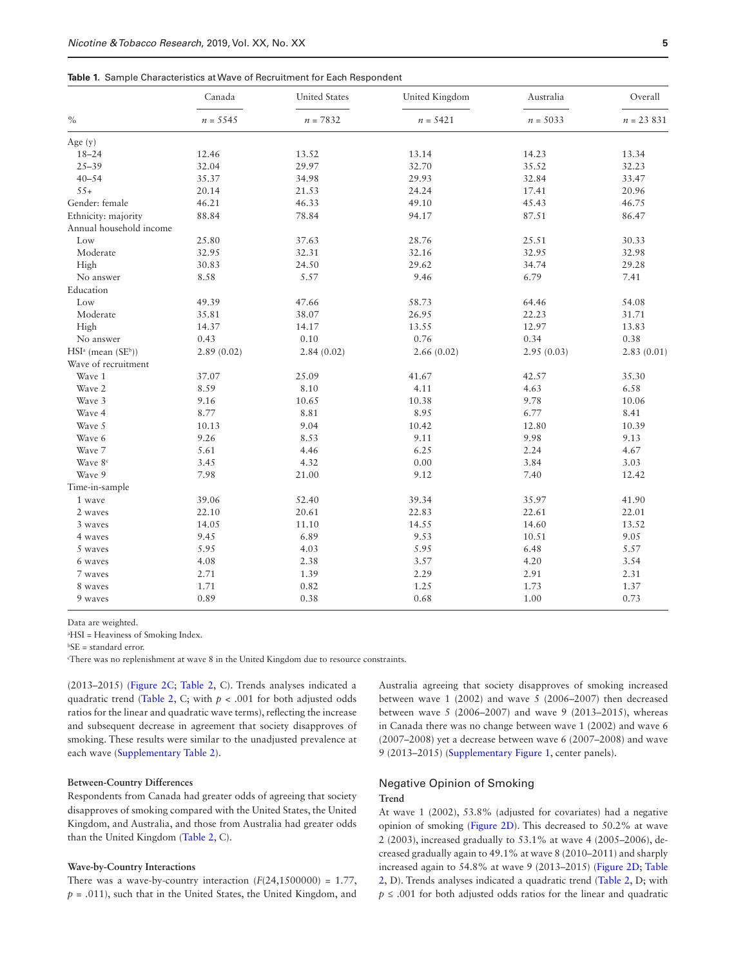#### <span id="page-4-0"></span>**Table 1.** Sample Characteristics at Wave of Recruitment for Each Respondent

|                         | Canada     | <b>United States</b> | United Kingdom | Australia  | Overall<br>$n = 23831$ |  |
|-------------------------|------------|----------------------|----------------|------------|------------------------|--|
| $\%$                    | $n = 5545$ | $n = 7832$           | $n = 5421$     | $n = 5033$ |                        |  |
| Age $(y)$               |            |                      |                |            |                        |  |
| $18 - 24$               | 12.46      | 13.52                | 13.14          | 14.23      | 13.34                  |  |
| $25 - 39$               | 32.04      | 29.97                | 32.70          | 35.52      | 32.23                  |  |
| $40 - 54$               | 35.37      | 34.98                | 29.93          | 32.84      |                        |  |
| $55+$                   | 20.14      | 21.53                | 24.24<br>17.41 |            | 20.96                  |  |
| Gender: female          | 46.21      | 46.33                | 49.10          | 45.43      | 46.75                  |  |
| Ethnicity: majority     | 88.84      | 78.84                | 94.17          | 87.51      | 86.47                  |  |
| Annual household income |            |                      |                |            |                        |  |
| Low                     | 25.80      | 37.63                | 28.76          | 25.51      | 30.33                  |  |
| Moderate                | 32.95      | 32.31                | 32.16          | 32.95      | 32.98                  |  |
| High                    | 30.83      | 24.50                | 29.62<br>34.74 |            | 29.28                  |  |
| No answer               | 8.58       | 5.57                 | 9.46           | 6.79       | 7.41                   |  |
| Education               |            |                      |                |            |                        |  |
| Low                     | 49.39      | 47.66                | 58.73          | 64.46      | 54.08                  |  |
| Moderate                | 35.81      | 38.07                | 26.95          | 22.23      | 31.71                  |  |
| High                    | 14.37      | 14.17                | 13.55          | 12.97      | 13.83                  |  |
| No answer               | 0.43       | 0.10                 | 0.76           | 0.34       | 0.38                   |  |
| $HSIa$ (mean $(SEb)$ )  | 2.89(0.02) | 2.84(0.02)           | 2.66(0.02)     | 2.95(0.03) | 2.83(0.01)             |  |
| Wave of recruitment     |            |                      |                |            |                        |  |
| Wave 1                  | 37.07      | 25.09                | 41.67          | 42.57      | 35.30                  |  |
| Wave 2                  | 8.59       | 8.10                 | 4.11           | 4.63       | 6.58                   |  |
| Wave 3                  | 9.16       | 10.65                | 10.38          | 9.78       | 10.06                  |  |
| Wave 4                  | 8.77       | 8.81                 | 8.95           | 6.77       | 8.41                   |  |
| Wave 5                  | 10.13      | 9.04                 | 10.42          | 12.80      | 10.39                  |  |
| Wave 6                  | 9.26       | 8.53                 | 9.11           | 9.98       | 9.13                   |  |
| Wave 7                  | 5.61       | 4.46                 | 6.25           | 2.24       | 4.67                   |  |
| Wave 8 <sup>c</sup>     | 3.45       | 4.32                 | 0.00           | 3.84       | 3.03                   |  |
| Wave 9                  | 7.98       | 21.00                | 9.12           | 7.40       | 12.42                  |  |
| Time-in-sample          |            |                      |                |            |                        |  |
| 1 wave                  | 39.06      | 52.40                | 39.34          | 35.97      | 41.90                  |  |
| 2 waves                 | 22.10      | 20.61                | 22.83          | 22.61      | 22.01                  |  |
| 3 waves                 | 14.05      | 11.10                | 14.55          | 14.60      | 13.52                  |  |
| 4 waves                 | 9.45       | 6.89                 | 9.53           | 10.51      | 9.05                   |  |
| 5 waves                 | 5.95       | 4.03                 | 5.95           | 6.48       | 5.57                   |  |
| 6 waves                 | 4.08       | 2.38                 | 3.57           | 4.20       | 3.54                   |  |
| 7 waves                 | 2.71       | 1.39                 | 2.29           | 2.91       | 2.31                   |  |
| 8 waves                 | 1.71       | 0.82                 | 1.25           | 1.73       | 1.37                   |  |
| 9 waves                 | 0.89       | 0.38                 | 0.68           | 1.00       | 0.73                   |  |

Data are weighted.

a HSI = Heaviness of Smoking Index.

b SE = standard error.

c There was no replenishment at wave 8 in the United Kingdom due to resource constraints.

(2013–2015) ([Figure 2C;](#page-5-0) [Table 2,](#page-6-0) C). Trends analyses indicated a quadratic trend [\(Table 2,](#page-6-0) C; with *p* < .001 for both adjusted odds ratios for the linear and quadratic wave terms), reflecting the increase and subsequent decrease in agreement that society disapproves of smoking. These results were similar to the unadjusted prevalence at each wave [\(Supplementary Table 2](http://academic.oup.com/ntr/article-lookup/doi/10.1093/ntr/ntz179#supplementary-data)).

#### **Between-Country Differences**

Respondents from Canada had greater odds of agreeing that society disapproves of smoking compared with the United States, the United Kingdom, and Australia, and those from Australia had greater odds than the United Kingdom ([Table 2](#page-6-0), C).

#### **Wave-by-Country Interactions**

There was a wave-by-country interaction  $(F(24,1500000) = 1.77)$ ,  $p = .011$ , such that in the United States, the United Kingdom, and Australia agreeing that society disapproves of smoking increased between wave 1 (2002) and wave 5 (2006–2007) then decreased between wave 5 (2006–2007) and wave 9 (2013–2015), whereas in Canada there was no change between wave 1 (2002) and wave 6 (2007–2008) yet a decrease between wave 6 (2007–2008) and wave 9 (2013–2015) [\(Supplementary Figure 1](http://academic.oup.com/ntr/article-lookup/doi/10.1093/ntr/ntz179#supplementary-data), center panels).

# Negative Opinion of Smoking **Trend**

At wave 1 (2002), 53.8% (adjusted for covariates) had a negative opinion of smoking ([Figure 2D\)](#page-5-0). This decreased to 50.2% at wave 2 (2003), increased gradually to 53.1% at wave 4 (2005–2006), decreased gradually again to 49.1% at wave 8 (2010–2011) and sharply increased again to 54.8% at wave 9 (2013–2015) ([Figure 2D;](#page-5-0) [Table](#page-6-0)  [2](#page-6-0), D). Trends analyses indicated a quadratic trend [\(Table 2,](#page-6-0) D; with  $p \leq 0.001$  for both adjusted odds ratios for the linear and quadratic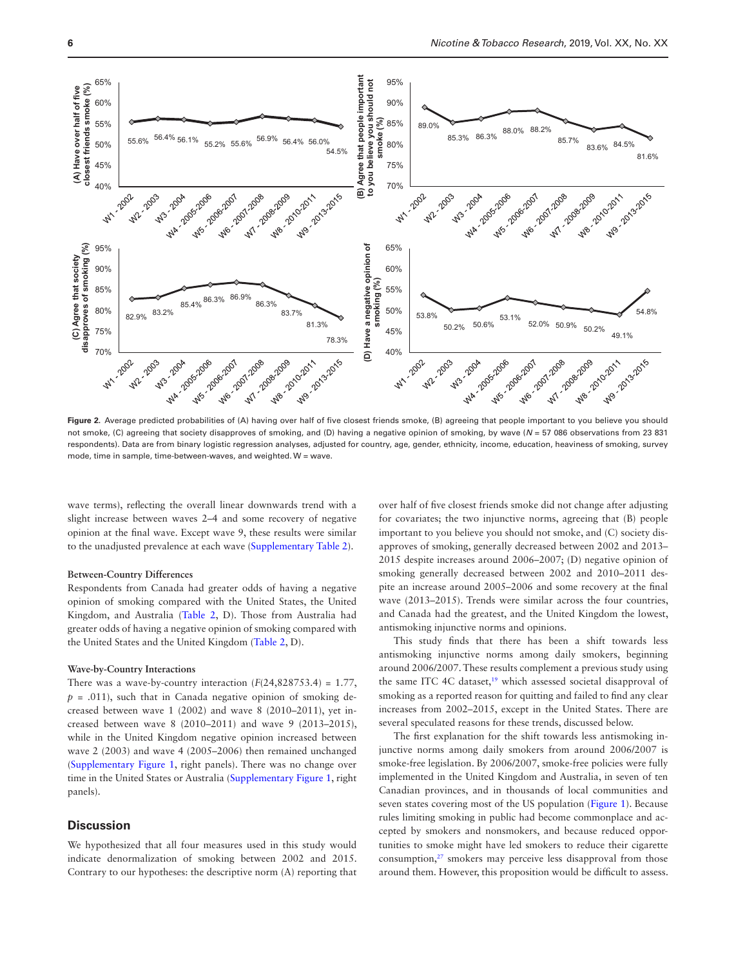

<span id="page-5-0"></span>**Figure 2.** Average predicted probabilities of (A) having over half of five closest friends smoke, (B) agreeing that people important to you believe you should not smoke, (C) agreeing that society disapproves of smoking, and (D) having a negative opinion of smoking, by wave (*N* = 57 086 observations from 23 831 respondents). Data are from binary logistic regression analyses, adjusted for country, age, gender, ethnicity, income, education, heaviness of smoking, survey mode, time in sample, time-between-waves, and weighted. W = wave.

wave terms), reflecting the overall linear downwards trend with a slight increase between waves 2–4 and some recovery of negative opinion at the final wave. Except wave 9, these results were similar to the unadjusted prevalence at each wave [\(Supplementary Table 2](http://academic.oup.com/ntr/article-lookup/doi/10.1093/ntr/ntz179#supplementary-data)).

#### **Between-Country Differences**

Respondents from Canada had greater odds of having a negative opinion of smoking compared with the United States, the United Kingdom, and Australia [\(Table 2,](#page-6-0) D). Those from Australia had greater odds of having a negative opinion of smoking compared with the United States and the United Kingdom [\(Table 2,](#page-6-0) D).

#### **Wave-by-Country Interactions**

There was a wave-by-country interaction  $(F(24,828753.4) = 1.77$ ,  $p = .011$ , such that in Canada negative opinion of smoking decreased between wave 1 (2002) and wave 8 (2010–2011), yet increased between wave 8 (2010–2011) and wave 9 (2013–2015), while in the United Kingdom negative opinion increased between wave 2 (2003) and wave 4 (2005–2006) then remained unchanged [\(Supplementary Figure 1](http://academic.oup.com/ntr/article-lookup/doi/10.1093/ntr/ntz179#supplementary-data), right panels). There was no change over time in the United States or Australia [\(Supplementary Figure 1](http://academic.oup.com/ntr/article-lookup/doi/10.1093/ntr/ntz179#supplementary-data), right panels).

# **Discussion**

We hypothesized that all four measures used in this study would indicate denormalization of smoking between 2002 and 2015. Contrary to our hypotheses: the descriptive norm (A) reporting that

over half of five closest friends smoke did not change after adjusting for covariates; the two injunctive norms, agreeing that (B) people important to you believe you should not smoke, and (C) society disapproves of smoking, generally decreased between 2002 and 2013– 2015 despite increases around 2006–2007; (D) negative opinion of smoking generally decreased between 2002 and 2010–2011 despite an increase around 2005–2006 and some recovery at the final wave (2013–2015). Trends were similar across the four countries, and Canada had the greatest, and the United Kingdom the lowest, antismoking injunctive norms and opinions.

This study finds that there has been a shift towards less antismoking injunctive norms among daily smokers, beginning around 2006/2007. These results complement a previous study using the same ITC 4C dataset,<sup>19</sup> which assessed societal disapproval of smoking as a reported reason for quitting and failed to find any clear increases from 2002–2015, except in the United States. There are several speculated reasons for these trends, discussed below.

The first explanation for the shift towards less antismoking injunctive norms among daily smokers from around 2006/2007 is smoke-free legislation. By 2006/2007, smoke-free policies were fully implemented in the United Kingdom and Australia, in seven of ten Canadian provinces, and in thousands of local communities and seven states covering most of the US population ([Figure 1\)](#page-2-0). Because rules limiting smoking in public had become commonplace and accepted by smokers and nonsmokers, and because reduced opportunities to smoke might have led smokers to reduce their cigarette consumption, $27$  smokers may perceive less disapproval from those around them. However, this proposition would be difficult to assess.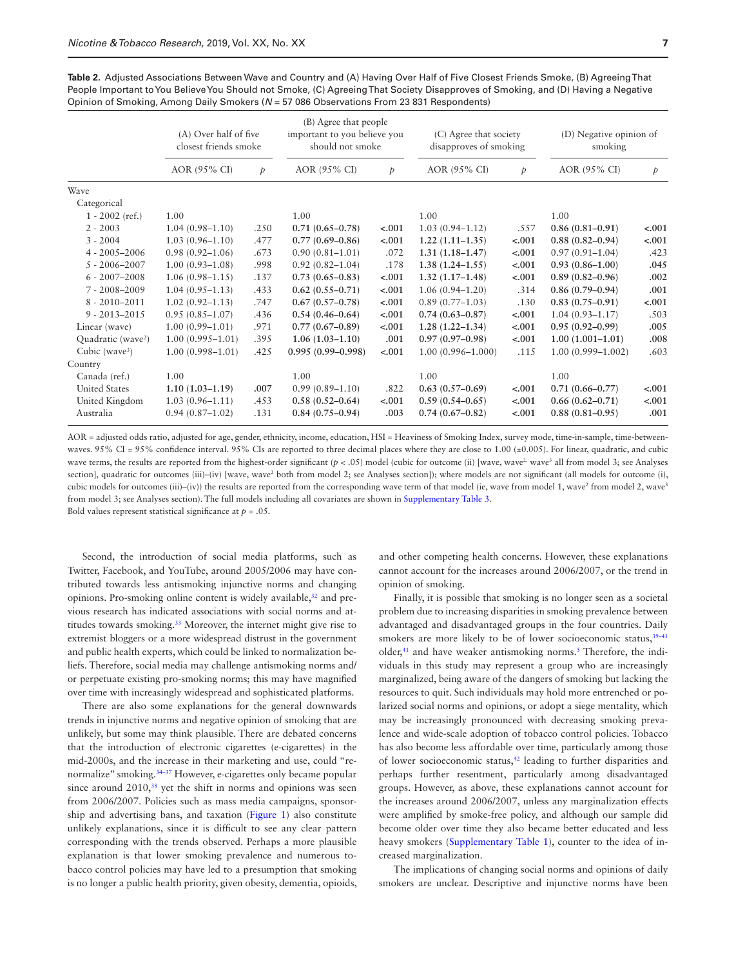<span id="page-6-0"></span>

| Table 2. Adjusted Associations Between Wave and Country and (A) Having Over Half of Five Closest Friends Smoke, (B) Agreeing That |
|-----------------------------------------------------------------------------------------------------------------------------------|
| People Important to You Believe You Should not Smoke, (C) Agreeing That Society Disapproves of Smoking, and (D) Having a Negative |
| Opinion of Smoking, Among Daily Smokers ( $N = 57086$ Observations From 23 831 Respondents)                                       |

|                                | (A) Over half of five<br>closest friends smoke |               | (B) Agree that people<br>important to you believe you<br>should not smoke |               | (C) Agree that society<br>disapproves of smoking |               | (D) Negative opinion of<br>smoking |               |
|--------------------------------|------------------------------------------------|---------------|---------------------------------------------------------------------------|---------------|--------------------------------------------------|---------------|------------------------------------|---------------|
|                                | AOR (95% CI)                                   | $\mathcal{P}$ | AOR (95% CI)                                                              | $\mathcal{P}$ | AOR (95% CI)                                     | $\mathcal{P}$ | AOR (95% CI)                       | $\mathcal{P}$ |
| Wave                           |                                                |               |                                                                           |               |                                                  |               |                                    |               |
| Categorical                    |                                                |               |                                                                           |               |                                                  |               |                                    |               |
| $1 - 2002$ (ref.)              | 1.00                                           |               | 1.00                                                                      |               | 1.00                                             |               | 1.00                               |               |
| $2 - 2003$                     | $1.04(0.98 - 1.10)$                            | .250          | $0.71(0.65 - 0.78)$                                                       | $-.001$       | $1.03(0.94 - 1.12)$                              | .557          | $0.86(0.81 - 0.91)$                | $-.001$       |
| $3 - 2004$                     | $1.03(0.96 - 1.10)$                            | .477          | $0.77(0.69 - 0.86)$                                                       | $-.001$       | $1.22(1.11 - 1.35)$                              | $-.001$       | $0.88(0.82 - 0.94)$                | $-.001$       |
| $4 - 2005 - 2006$              | $0.98(0.92 - 1.06)$                            | .673          | $0.90(0.81 - 1.01)$                                                       | .072          | $1.31(1.18-1.47)$                                | $-.001$       | $0.97(0.91 - 1.04)$                | .423          |
| $5 - 2006 - 2007$              | $1.00(0.93 - 1.08)$                            | .998          | $0.92(0.82 - 1.04)$                                                       | .178          | $1.38(1.24 - 1.55)$                              | $-.001$       | $0.93(0.86 - 1.00)$                | .045          |
| $6 - 2007 - 2008$              | $1.06(0.98 - 1.15)$                            | .137          | $0.73(0.65 - 0.83)$                                                       | $-.001$       | $1.32(1.17-1.48)$                                | $-.001$       | $0.89(0.82 - 0.96)$                | .002          |
| $7 - 2008 - 2009$              | $1.04(0.95 - 1.13)$                            | .433          | $0.62(0.55 - 0.71)$                                                       | $-.001$       | $1.06(0.94 - 1.20)$                              | .314          | $0.86(0.79-0.94)$                  | .001          |
| $8 - 2010 - 2011$              | $1.02(0.92 - 1.13)$                            | .747          | $0.67(0.57-0.78)$                                                         | $-.001$       | $0.89(0.77-1.03)$                                | .130          | $0.83(0.75-0.91)$                  | $-.001$       |
| $9 - 2013 - 2015$              | $0.95(0.85 - 1.07)$                            | .436          | $0.54(0.46 - 0.64)$                                                       | $-.001$       | $0.74(0.63 - 0.87)$                              | $-.001$       | $1.04(0.93 - 1.17)$                | .503          |
| Linear (wave)                  | $1.00(0.99 - 1.01)$                            | .971          | $0.77(0.67-0.89)$                                                         | $-.001$       | $1.28(1.22 - 1.34)$                              | $-.001$       | $0.95(0.92 - 0.99)$                | .005          |
| Quadratic (wave <sup>2</sup> ) | $1.00(0.995 - 1.01)$                           | .395          | $1.06(1.03-1.10)$                                                         | .001          | $0.97(0.97-0.98)$                                | $-.001$       | $1.00(1.001 - 1.01)$               | .008          |
| Cubic (wave <sup>3</sup> )     | $1.00(0.998 - 1.01)$                           | .425          | $0.995(0.99 - 0.998)$                                                     | $-.001$       | $1.00(0.996 - 1.000)$                            | .115          | $1.00(0.999 - 1.002)$              | .603          |
| Country                        |                                                |               |                                                                           |               |                                                  |               |                                    |               |
| Canada (ref.)                  | 1.00                                           |               | 1.00                                                                      |               | 1.00                                             |               | 1.00                               |               |
| <b>United States</b>           | $1.10(1.03 - 1.19)$                            | .007          | $0.99(0.89 - 1.10)$                                                       | .822          | $0.63(0.57-0.69)$                                | $-.001$       | $0.71(0.66 - 0.77)$                | $-.001$       |
| United Kingdom                 | $1.03(0.96 - 1.11)$                            | .453          | $0.58(0.52 - 0.64)$                                                       | $-.001$       | $0.59(0.54 - 0.65)$                              | $-.001$       | $0.66(0.62 - 0.71)$                | $-.001$       |
| Australia                      | $0.94(0.87 - 1.02)$                            | .131          | $0.84(0.75-0.94)$                                                         | .003          | $0.74(0.67-0.82)$                                | $-.001$       | $0.88(0.81 - 0.95)$                | .001          |

AOR = adjusted odds ratio, adjusted for age, gender, ethnicity, income, education, HSI = Heaviness of Smoking Index, survey mode, time-in-sample, time-betweenwaves. 95% CI = 95% confidence interval. 95% CIs are reported to three decimal places where they are close to 1.00 ( $\pm$ 0.005). For linear, quadratic, and cubic wave terms, the results are reported from the highest-order significant (*p* < .05) model (cubic for outcome (ii) [wave, wave<sup>2</sup> wave<sup>3</sup> all from model 3; see Analyses section], quadratic for outcomes (iii)–(iv) [wave, wave<sup>2</sup> both from model 2; see Analyses section]); where models are not significant (all models for outcome (i), cubic models for outcomes (iii)–(iv)) the results are reported from the corresponding wave term of that model (ie, wave from model 1, wave<sup>2</sup> from model 2, wave<sup>3</sup> from model 3; see Analyses section). The full models including all covariates are shown in [Supplementary Table 3](http://academic.oup.com/ntr/article-lookup/doi/10.1093/ntr/ntz179#supplementary-data).

Bold values represent statistical significance at *p* = .05.

Second, the introduction of social media platforms, such as Twitter, Facebook, and YouTube, around 2005/2006 may have contributed towards less antismoking injunctive norms and changing opinions. Pro-smoking online content is widely available,<sup>[32](#page-8-18)</sup> and previous research has indicated associations with social norms and attitudes towards smoking.[33](#page-8-19) Moreover, the internet might give rise to extremist bloggers or a more widespread distrust in the government and public health experts, which could be linked to normalization beliefs. Therefore, social media may challenge antismoking norms and/ or perpetuate existing pro-smoking norms; this may have magnified over time with increasingly widespread and sophisticated platforms.

There are also some explanations for the general downwards trends in injunctive norms and negative opinion of smoking that are unlikely, but some may think plausible. There are debated concerns that the introduction of electronic cigarettes (e-cigarettes) in the mid-2000s, and the increase in their marketing and use, could "renormalize" smoking.<sup>34-37</sup> However, e-cigarettes only became popular since around  $2010<sub>1</sub><sup>38</sup>$  yet the shift in norms and opinions was seen from 2006/2007. Policies such as mass media campaigns, sponsorship and advertising bans, and taxation [\(Figure 1\)](#page-2-0) also constitute unlikely explanations, since it is difficult to see any clear pattern corresponding with the trends observed. Perhaps a more plausible explanation is that lower smoking prevalence and numerous tobacco control policies may have led to a presumption that smoking is no longer a public health priority, given obesity, dementia, opioids,

and other competing health concerns. However, these explanations cannot account for the increases around 2006/2007, or the trend in opinion of smoking.

Finally, it is possible that smoking is no longer seen as a societal problem due to increasing disparities in smoking prevalence between advantaged and disadvantaged groups in the four countries. Daily smokers are more likely to be of lower socioeconomic status, 39-41 older,<sup>41</sup> and have weaker antismoking norms.<sup>[5](#page-8-22)</sup> Therefore, the individuals in this study may represent a group who are increasingly marginalized, being aware of the dangers of smoking but lacking the resources to quit. Such individuals may hold more entrenched or polarized social norms and opinions, or adopt a siege mentality, which may be increasingly pronounced with decreasing smoking prevalence and wide-scale adoption of tobacco control policies. Tobacco has also become less affordable over time, particularly among those of lower socioeconomic status,[42](#page-8-23) leading to further disparities and perhaps further resentment, particularly among disadvantaged groups. However, as above, these explanations cannot account for the increases around 2006/2007, unless any marginalization effects were amplified by smoke-free policy, and although our sample did become older over time they also became better educated and less heavy smokers ([Supplementary Table 1\)](http://academic.oup.com/ntr/article-lookup/doi/10.1093/ntr/ntz179#supplementary-data), counter to the idea of increased marginalization.

The implications of changing social norms and opinions of daily smokers are unclear. Descriptive and injunctive norms have been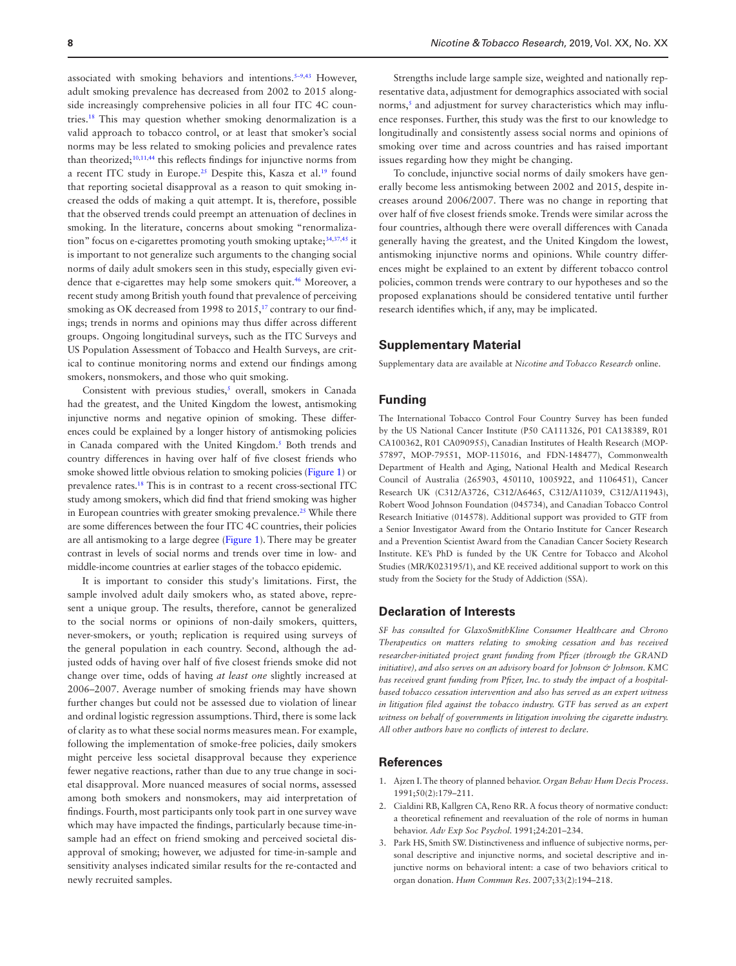associated with smoking behaviors and intentions.<sup>5-9,43</sup> However, adult smoking prevalence has decreased from 2002 to 2015 alongside increasingly comprehensive policies in all four ITC 4C countries.[18](#page-8-4) This may question whether smoking denormalization is a valid approach to tobacco control, or at least that smoker's social norms may be less related to smoking policies and prevalence rates than theorized;<sup>[10](#page-8-0),[11](#page-8-1)[,44](#page-8-25)</sup> this reflects findings for injunctive norms from a recent ITC study in Europe.<sup>25</sup> Despite this, Kasza et al.<sup>19</sup> found that reporting societal disapproval as a reason to quit smoking increased the odds of making a quit attempt. It is, therefore, possible that the observed trends could preempt an attenuation of declines in smoking. In the literature, concerns about smoking "renormaliza-tion" focus on e-cigarettes promoting youth smoking uptake;<sup>[34,](#page-8-26)[37](#page-8-27),45</sup> it is important to not generalize such arguments to the changing social norms of daily adult smokers seen in this study, especially given evidence that e-cigarettes may help some smokers quit.<sup>46</sup> Moreover, a recent study among British youth found that prevalence of perceiving smoking as OK decreased from 1998 to 2015,<sup>17</sup> contrary to our findings; trends in norms and opinions may thus differ across different groups. Ongoing longitudinal surveys, such as the ITC Surveys and US Population Assessment of Tobacco and Health Surveys, are critical to continue monitoring norms and extend our findings among smokers, nonsmokers, and those who quit smoking.

Consistent with previous studies,<sup>[5](#page-8-22)</sup> overall, smokers in Canada had the greatest, and the United Kingdom the lowest, antismoking injunctive norms and negative opinion of smoking. These differences could be explained by a longer history of antismoking policies in Canada compared with the United Kingdom.<sup>5</sup> Both trends and country differences in having over half of five closest friends who smoke showed little obvious relation to smoking policies [\(Figure 1\)](#page-2-0) or prevalence rates[.18](#page-8-4) This is in contrast to a recent cross-sectional ITC study among smokers, which did find that friend smoking was higher in European countries with greater smoking prevalence.<sup>25</sup> While there are some differences between the four ITC 4C countries, their policies are all antismoking to a large degree [\(Figure 1](#page-2-0)). There may be greater contrast in levels of social norms and trends over time in low- and middle-income countries at earlier stages of the tobacco epidemic.

It is important to consider this study's limitations. First, the sample involved adult daily smokers who, as stated above, represent a unique group. The results, therefore, cannot be generalized to the social norms or opinions of non-daily smokers, quitters, never-smokers, or youth; replication is required using surveys of the general population in each country. Second, although the adjusted odds of having over half of five closest friends smoke did not change over time, odds of having *at least one* slightly increased at 2006–2007. Average number of smoking friends may have shown further changes but could not be assessed due to violation of linear and ordinal logistic regression assumptions. Third, there is some lack of clarity as to what these social norms measures mean. For example, following the implementation of smoke-free policies, daily smokers might perceive less societal disapproval because they experience fewer negative reactions, rather than due to any true change in societal disapproval. More nuanced measures of social norms, assessed among both smokers and nonsmokers, may aid interpretation of findings. Fourth, most participants only took part in one survey wave which may have impacted the findings, particularly because time-insample had an effect on friend smoking and perceived societal disapproval of smoking; however, we adjusted for time-in-sample and sensitivity analyses indicated similar results for the re-contacted and newly recruited samples.

Strengths include large sample size, weighted and nationally representative data, adjustment for demographics associated with social norms,<sup>[5](#page-8-22)</sup> and adjustment for survey characteristics which may influence responses. Further, this study was the first to our knowledge to longitudinally and consistently assess social norms and opinions of smoking over time and across countries and has raised important issues regarding how they might be changing.

To conclude, injunctive social norms of daily smokers have generally become less antismoking between 2002 and 2015, despite increases around 2006/2007. There was no change in reporting that over half of five closest friends smoke. Trends were similar across the four countries, although there were overall differences with Canada generally having the greatest, and the United Kingdom the lowest, antismoking injunctive norms and opinions. While country differences might be explained to an extent by different tobacco control policies, common trends were contrary to our hypotheses and so the proposed explanations should be considered tentative until further research identifies which, if any, may be implicated.

# **Supplementary Material**

Supplementary data are available at *Nicotine and Tobacco Research* online.

#### **Funding**

The International Tobacco Control Four Country Survey has been funded by the US National Cancer Institute (P50 CA111326, P01 CA138389, R01 CA100362, R01 CA090955), Canadian Institutes of Health Research (MOP-57897, MOP-79551, MOP-115016, and FDN-148477), Commonwealth Department of Health and Aging, National Health and Medical Research Council of Australia (265903, 450110, 1005922, and 1106451), Cancer Research UK (C312/A3726, C312/A6465, C312/A11039, C312/A11943), Robert Wood Johnson Foundation (045734), and Canadian Tobacco Control Research Initiative (014578). Additional support was provided to GTF from a Senior Investigator Award from the Ontario Institute for Cancer Research and a Prevention Scientist Award from the Canadian Cancer Society Research Institute. KE's PhD is funded by the UK Centre for Tobacco and Alcohol Studies (MR/K023195/1), and KE received additional support to work on this study from the Society for the Study of Addiction (SSA).

## **Declaration of Interests**

*SF has consulted for GlaxoSmithKline Consumer Healthcare and Chrono Therapeutics on matters relating to smoking cessation and has received researcher-initiated project grant funding from Pfizer (through the GRAND initiative), and also serves on an advisory board for Johnson & Johnson. KMC has received grant funding from Pfizer, Inc. to study the impact of a hospitalbased tobacco cessation intervention and also has served as an expert witness*  in litigation filed against the tobacco industry. GTF has served as an expert *witness on behalf of governments in litigation involving the cigarette industry. All other authors have no conflicts of interest to declare*.

# **References**

- 1. Ajzen I. The theory of planned behavior. *Organ Behav Hum Decis Process*. 1991;50(2):179–211.
- 2. Cialdini RB, Kallgren CA, Reno RR. A focus theory of normative conduct: a theoretical refinement and reevaluation of the role of norms in human behavior. *Adv Exp Soc Psychol*. 1991;24:201–234.
- 3. Park HS, Smith SW. Distinctiveness and influence of subjective norms, personal descriptive and injunctive norms, and societal descriptive and injunctive norms on behavioral intent: a case of two behaviors critical to organ donation. *Hum Commun Res*. 2007;33(2):194–218.